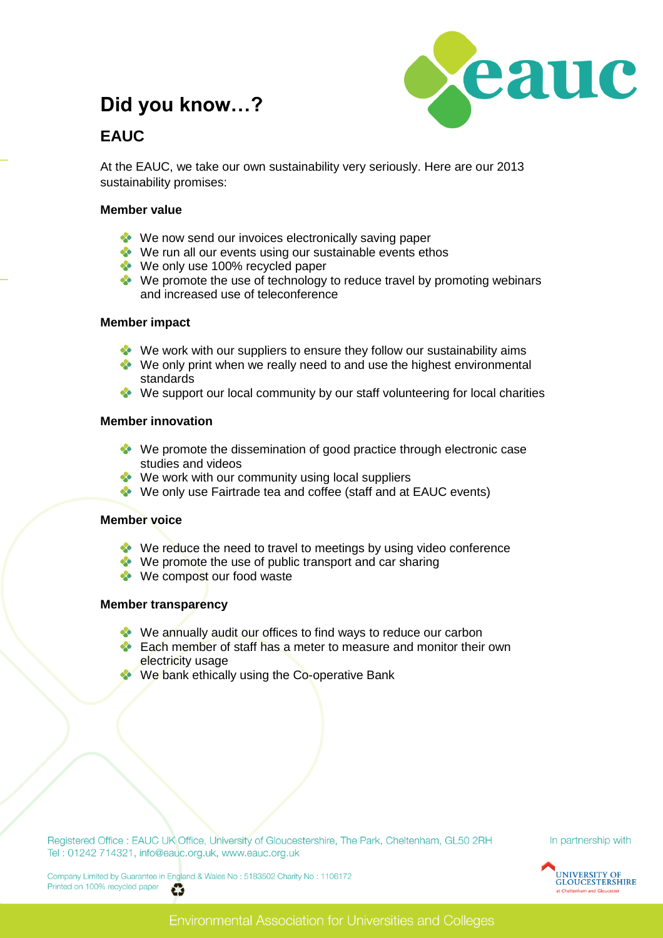## **Did you know…?**



## **EAUC**

At the EAUC, we take our own sustainability very seriously. Here are our 2013 sustainability promises:

#### **Member value**

- We now send our invoices electronically saving paper
- We run all our events using our sustainable events ethos
- We only use 100% recycled paper
- $\bullet\bullet\bullet\bullet$  We promote the use of technology to reduce travel by promoting webinars and increased use of teleconference

#### **Member impact**

- We work with our suppliers to ensure they follow our sustainability aims
- We only print when we really need to and use the highest environmental standards
- We support our local community by our staff volunteering for local charities

#### **Member innovation**

- We promote the dissemination of good practice through electronic case studies and videos
- $\bullet\bullet\bullet$  We work with our community using local suppliers
- We only use Fairtrade tea and coffee (staff and at EAUC events)

#### **Member voice**

- We reduce the need to travel to meetings by using video conference
- $\bullet\bullet\bullet$  We promote the use of public transport and car sharing
- We compost our food waste

#### **Member transparency**

- We annually audit our offices to find ways to reduce our carbon
- **Each member of staff has a meter to measure and monitor their own** electricity usage
- We bank ethically using the Co-operative Bank

Registered Office : EAUC UK Office, University of Gloucestershire, The Park, Cheltenham, GL50 2RH Tel: 01242 714321, info@eauc.org.uk, www.eauc.org.uk

In partnership with



Company Limited by Guarantee in England & Wales No: 5183502 Charity No: 1106172 Printed on 100% recycled paper č3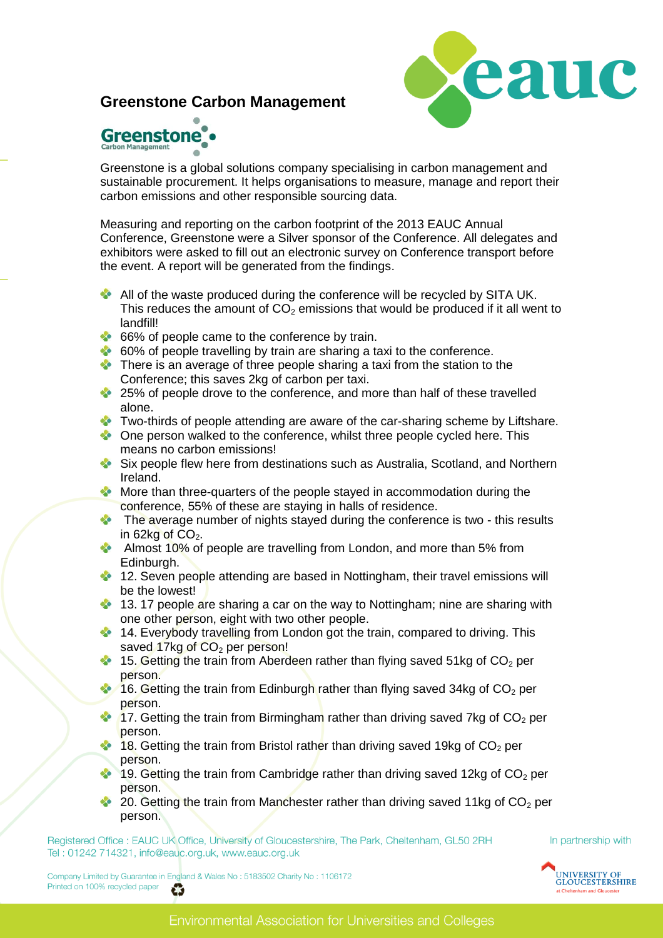## **Greenstone Carbon Management**





Greenstone is a global solutions company specialising in carbon management and sustainable procurement. It helps organisations to measure, manage and report their carbon emissions and other responsible sourcing data.

Measuring and reporting on the carbon footprint of the 2013 EAUC Annual Conference, Greenstone were a Silver sponsor of the Conference. All delegates and exhibitors were asked to fill out an electronic survey on Conference transport before the event. A report will be generated from the findings.

- All of the waste produced during the conference will be recycled by SITA UK. This reduces the amount of  $CO<sub>2</sub>$  emissions that would be produced if it all went to landfill!
- 66% of people came to the conference by train.
- 60% of people travelling by train are sharing a taxi to the conference.
- There is an average of three people sharing a taxi from the station to the Conference; this saves 2kg of carbon per taxi.
- <sup>25%</sup> 25% of people drove to the conference, and more than half of these travelled alone.
- Two-thirds of people attending are aware of the car-sharing scheme by Liftshare.
- **Cone person walked to the conference, whilst three people cycled here. This** means no carbon emissions!
- Six people flew here from destinations such as Australia, Scotland, and Northern Ireland.
- More than three-quarters of the people stayed in accommodation during the conference, 55% of these are staying in halls of residence.
- The average number of nights stayed during the conference is two this results in 62kg of  $CO<sub>2</sub>$ .
- Almost 10% of people are travelling from London, and more than 5% from Edinburgh.
- <sup>2</sup> 12. Seven people attending are based in Nottingham, their travel emissions will be the lowest!
- 13. 17 people are sharing a car on the way to Nottingham; nine are sharing with one other person, eight with two other people.
- **14. Everybody travelling from London got the train, compared to driving. This** saved 17kg of  $CO<sub>2</sub>$  per person!
- 15. Getting the train from Aberdeen rather than flying saved 51kg of  $CO<sub>2</sub>$  per person.
- 16. Getting the train from Edinburgh rather than flying saved 34kg of  $CO<sub>2</sub>$  per person.
- 17. Getting the train from Birmingham rather than driving saved 7kg of  $CO<sub>2</sub>$  per person.
- 18. Getting the train from Bristol rather than driving saved 19kg of  $CO<sub>2</sub>$  per person.
- $\bullet$ 19. Getting the train from Cambridge rather than driving saved 12kg of  $CO<sub>2</sub>$  per person.
- 20. Getting the train from Manchester rather than driving saved 11kg of  $CO<sub>2</sub>$  per person.

Registered Office : EAUC UK Office, University of Gloucestershire, The Park, Cheltenham, GL50 2RH Tel: 01242 714321, info@eauc.org.uk, www.eauc.org.uk

Company Limited by Guarantee in England & Wales No: 5183502 Charity No: 1106172 Printed on 100% recycled paper G

In partnership with

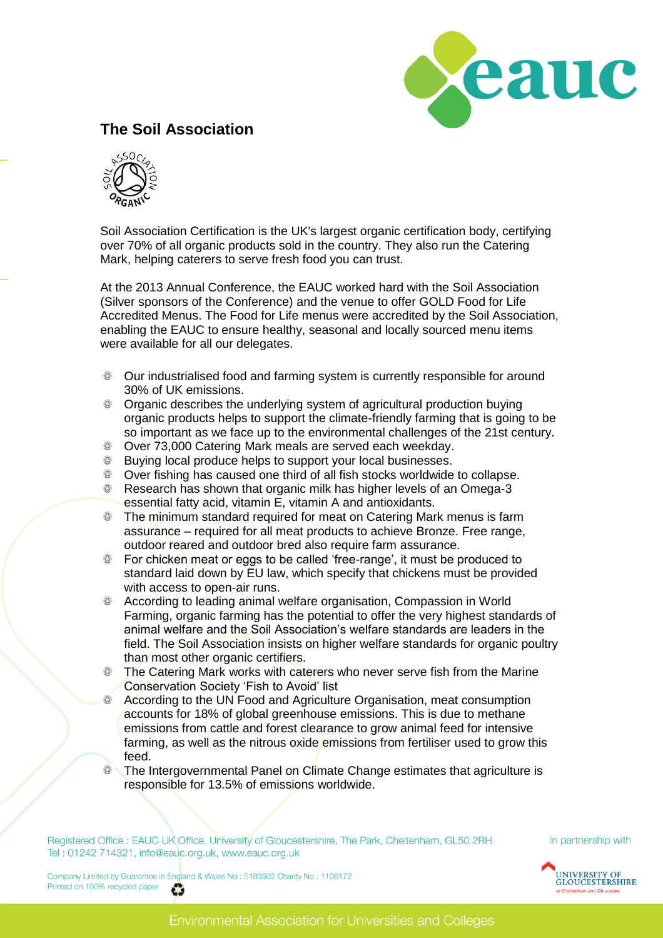

## **The Soil Association**



Soil Association Certification is the UK's largest organic certification body, certifying over 70% of all organic products sold in the country. They also run the Catering Mark, helping caterers to serve fresh food you can trust.

At the 2013 Annual Conference, the EAUC worked hard with the Soil Association (Silver sponsors of the Conference) and the venue to offer GOLD Food for Life Accredited Menus. The Food for Life menus were accredited by the Soil Association, enabling the EAUC to ensure healthy, seasonal and locally sourced menu items were available for all our delegates.

- Our industrialised food and farming system is currently responsible for around 30% of UK emissions.
- **Combust 1** Organic describes the underlying system of agricultural production buying organic products helps to support the climate-friendly farming that is going to be so important as we face up to the environmental challenges of the 21st century.
- $\bigcirc$ Over 73,000 Catering Mark meals are served each weekday.
- **Buying local produce helps to support your local businesses.**
- Over fishing has caused one third of all fish stocks worldwide to collapse.
- **EXE** Research has shown that organic milk has higher levels of an Omega-3 essential fatty acid, vitamin E, vitamin A and antioxidants.
- $\bigcirc$ The minimum standard required for meat on Catering Mark menus is farm assurance – required for all meat products to achieve Bronze. Free range, outdoor reared and outdoor bred also require farm assurance.
- **EXEC** For chicken meat or eggs to be called 'free-range', it must be produced to standard laid down by EU law, which specify that chickens must be provided with access to open-air runs.
- $\circledcirc$ According to leading animal welfare organisation, Compassion in World Farming, organic farming has the potential to offer the very highest standards of animal welfare and the Soil Association"s welfare standards are leaders in the field. The Soil Association insists on higher welfare standards for organic poultry than most other organic certifiers.
- ۵ The Catering Mark works with caterers who never serve fish from the Marine Conservation Society "Fish to Avoid" list
- According to the UN Food and Agriculture Organisation, meat consumption ۳ accounts for 18% of global greenhouse emissions. This is due to methane emissions from cattle and forest clearance to grow animal feed for intensive farming, as well as the nitrous oxide emissions from fertiliser used to grow this feed.
- **The Intergovernmental Panel on Climate Change estimates that agriculture is** responsible for 13.5% of emissions worldwide.

Registered Office : EAUC UK Office, University of Gloucestershire, The Park, Cheltenham, GL50 2RH Tel: 01242 714321, info@eauc.org.uk, www.eauc.org.uk

Company Limited by Guarantee in England & Wales No: 5183502 Charity No: 1106172 Printed on 100% recycled paper č3

In partnership with

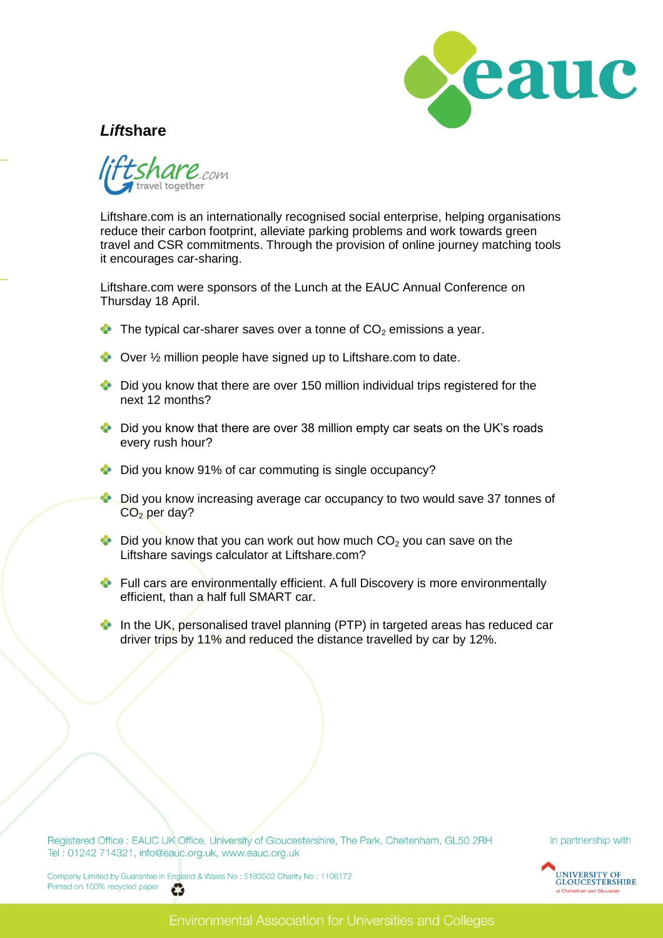

### *Lift***share**



Liftshare.com is an internationally recognised social enterprise, helping organisations reduce their carbon footprint, alleviate parking problems and work towards green travel and CSR commitments. Through the provision of online journey matching tools it encourages car-sharing.

Liftshare.com were sponsors of the Lunch at the EAUC Annual Conference on Thursday 18 April.

- $\bullet\bullet\bullet\bullet$  The typical car-sharer saves over a tonne of  $CO<sub>2</sub>$  emissions a year.
- ◆ Over ½ million people have signed up to Liftshare.com to date.
- $\bullet$  Did you know that there are over 150 million individual trips registered for the next 12 months?
- Did you know that there are over 38 million empty car seats on the UK's roads every rush hour?
- Did you know 91% of car commuting is single occupancy?
- S Did you know increasing average car occupancy to two would save 37 tonnes of  $CO<sub>2</sub>$  per day?
- $\bullet$  Did you know that you can work out how much  $CO<sub>2</sub>$  you can save on the Liftshare savings calculator at Liftshare.com?
- Full cars are environmentally efficient. A full Discovery is more environmentally efficient, than a half full SMART car.
- $\infty$ In the UK, personalised travel planning (PTP) in targeted areas has reduced car driver trips by 11% and reduced the distance travelled by car by 12%.

Registered Office : EAUC UK Office, University of Gloucestershire, The Park, Cheltenham, GL50 2RH Tel: 01242 714321, info@eauc.org.uk, www.eauc.org.uk

In partnership with



Company Limited by Guarantee in England & Wales No: 5183502 Charity No: 1106172 Printed on 100% recycled paper æ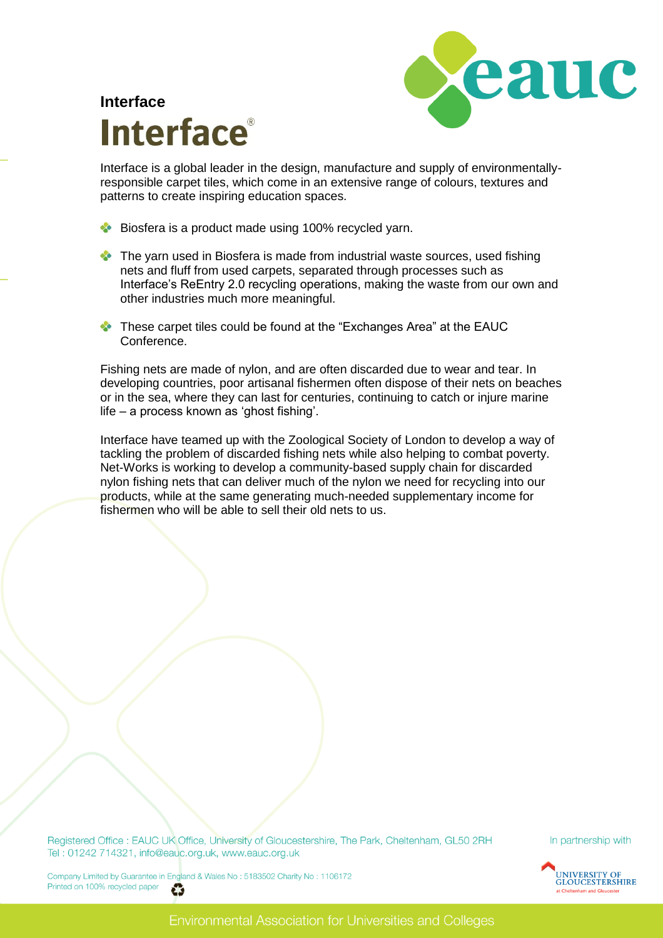

# **Interface Interface**®

Interface is a global leader in the design, manufacture and supply of environmentallyresponsible carpet tiles, which come in an extensive range of colours, textures and patterns to create inspiring education spaces.

- **Biosfera is a product made using 100% recycled yarn.**
- The yarn used in Biosfera is made from industrial waste sources, used fishing nets and fluff from used carpets, separated through processes such as Interface"s ReEntry 2.0 recycling operations, making the waste from our own and other industries much more meaningful.
- **These carpet tiles could be found at the "Exchanges Area" at the EAUC** Conference.

Fishing nets are made of nylon, and are often discarded due to wear and tear. In developing countries, poor artisanal fishermen often dispose of their nets on beaches or in the sea, where they can last for centuries, continuing to catch or injure marine life – a process known as 'ghost fishing'.

Interface have teamed up with the Zoological Society of London to develop a way of tackling the problem of discarded fishing nets while also helping to combat poverty. Net-Works is working to develop a community-based supply chain for discarded nylon fishing nets that can deliver much of the nylon we need for recycling into our products, while at the same generating much-needed supplementary income for fishermen who will be able to sell their old nets to us.

Registered Office : EAUC UK Office, University of Gloucestershire, The Park, Cheltenham, GL50 2RH Tel: 01242 714321, info@eauc.org.uk, www.eauc.org.uk

In partnership with



Company Limited by Guarantee in England & Wales No: 5183502 Charity No: 1106172 Printed on 100% recycled paper ĕ3